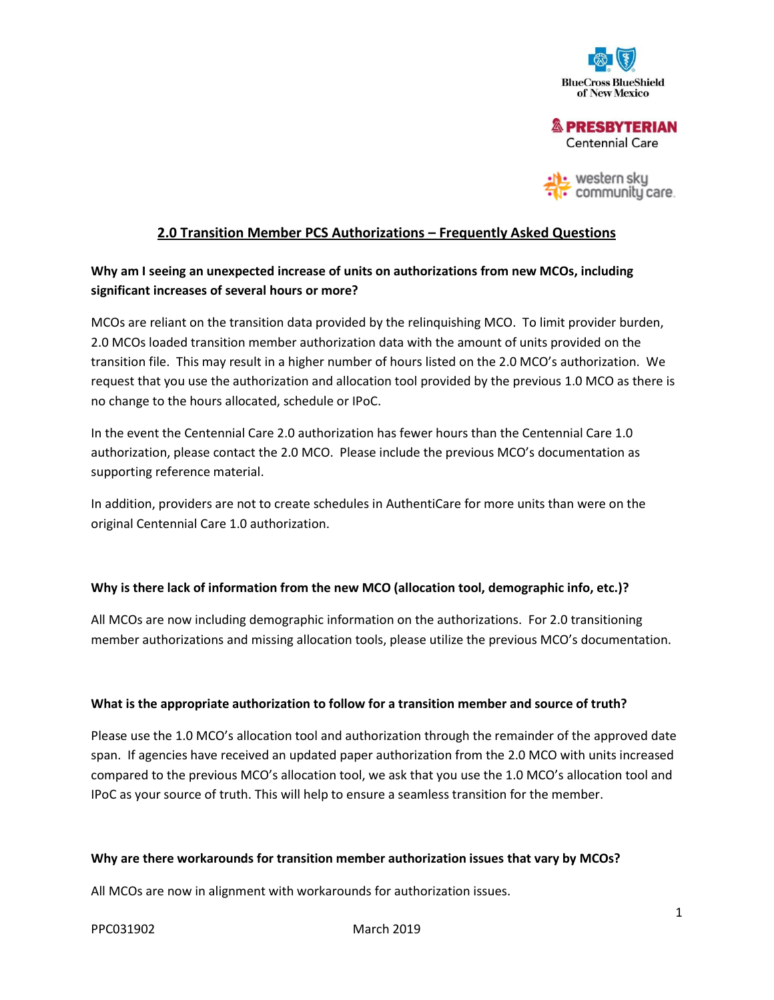

**& PRESBYTERIAN Centennial Care** 

 $\overline{\phantom{a}}$  western sky communitu care.

# **2.0 Transition Member PCS Authorizations – Frequently Asked Questions**

# **Why am I seeing an unexpected increase of units on authorizations from new MCOs, including significant increases of several hours or more?**

MCOs are reliant on the transition data provided by the relinquishing MCO. To limit provider burden, 2.0 MCOs loaded transition member authorization data with the amount of units provided on the transition file. This may result in a higher number of hours listed on the 2.0 MCO's authorization. We request that you use the authorization and allocation tool provided by the previous 1.0 MCO as there is no change to the hours allocated, schedule or IPoC.

In the event the Centennial Care 2.0 authorization has fewer hours than the Centennial Care 1.0 authorization, please contact the 2.0 MCO. Please include the previous MCO's documentation as supporting reference material.

In addition, providers are not to create schedules in AuthentiCare for more units than were on the original Centennial Care 1.0 authorization.

### **Why is there lack of information from the new MCO (allocation tool, demographic info, etc.)?**

All MCOs are now including demographic information on the authorizations. For 2.0 transitioning member authorizations and missing allocation tools, please utilize the previous MCO's documentation.

### **What is the appropriate authorization to follow for a transition member and source of truth?**

Please use the 1.0 MCO's allocation tool and authorization through the remainder of the approved date span. If agencies have received an updated paper authorization from the 2.0 MCO with units increased compared to the previous MCO's allocation tool, we ask that you use the 1.0 MCO's allocation tool and IPoC as your source of truth. This will help to ensure a seamless transition for the member.

### **Why are there workarounds for transition member authorization issues that vary by MCOs?**

All MCOs are now in alignment with workarounds for authorization issues.